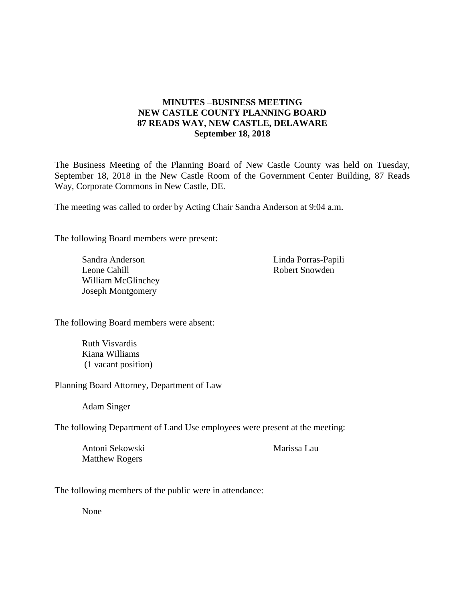## **MINUTES –BUSINESS MEETING NEW CASTLE COUNTY PLANNING BOARD 87 READS WAY, NEW CASTLE, DELAWARE September 18, 2018**

The Business Meeting of the Planning Board of New Castle County was held on Tuesday, September 18, 2018 in the New Castle Room of the Government Center Building, 87 Reads Way, Corporate Commons in New Castle, DE.

The meeting was called to order by Acting Chair Sandra Anderson at 9:04 a.m.

The following Board members were present:

Sandra Anderson Leone Cahill William McGlinchey Joseph Montgomery

Linda Porras-Papili Robert Snowden

The following Board members were absent:

Ruth Visvardis Kiana Williams (1 vacant position)

Planning Board Attorney, Department of Law

Adam Singer

The following Department of Land Use employees were present at the meeting:

Antoni Sekowski Matthew Rogers

Marissa Lau

The following members of the public were in attendance:

None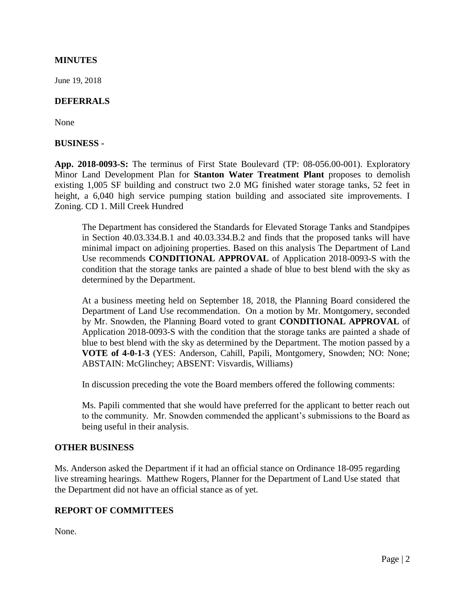### **MINUTES**

June 19, 2018

#### **DEFERRALS**

None

#### **BUSINESS -**

**App. 2018-0093-S:** The terminus of First State Boulevard (TP: 08-056.00-001). Exploratory Minor Land Development Plan for **Stanton Water Treatment Plant** proposes to demolish existing 1,005 SF building and construct two 2.0 MG finished water storage tanks, 52 feet in height, a 6,040 high service pumping station building and associated site improvements. I Zoning. CD 1. Mill Creek Hundred

The Department has considered the Standards for Elevated Storage Tanks and Standpipes in Section 40.03.334.B.1 and 40.03.334.B.2 and finds that the proposed tanks will have minimal impact on adjoining properties. Based on this analysis The Department of Land Use recommends **CONDITIONAL APPROVAL** of Application 2018-0093-S with the condition that the storage tanks are painted a shade of blue to best blend with the sky as determined by the Department.

At a business meeting held on September 18, 2018, the Planning Board considered the Department of Land Use recommendation. On a motion by Mr. Montgomery, seconded by Mr. Snowden, the Planning Board voted to grant **CONDITIONAL APPROVAL** of Application 2018-0093-S with the condition that the storage tanks are painted a shade of blue to best blend with the sky as determined by the Department. The motion passed by a **VOTE of 4-0-1-3** (YES: Anderson, Cahill, Papili, Montgomery, Snowden; NO: None; ABSTAIN: McGlinchey; ABSENT: Visvardis, Williams)

In discussion preceding the vote the Board members offered the following comments:

Ms. Papili commented that she would have preferred for the applicant to better reach out to the community. Mr. Snowden commended the applicant's submissions to the Board as being useful in their analysis.

#### **OTHER BUSINESS**

Ms. Anderson asked the Department if it had an official stance on Ordinance 18-095 regarding live streaming hearings. Matthew Rogers, Planner for the Department of Land Use stated that the Department did not have an official stance as of yet.

# **REPORT OF COMMITTEES**

None.